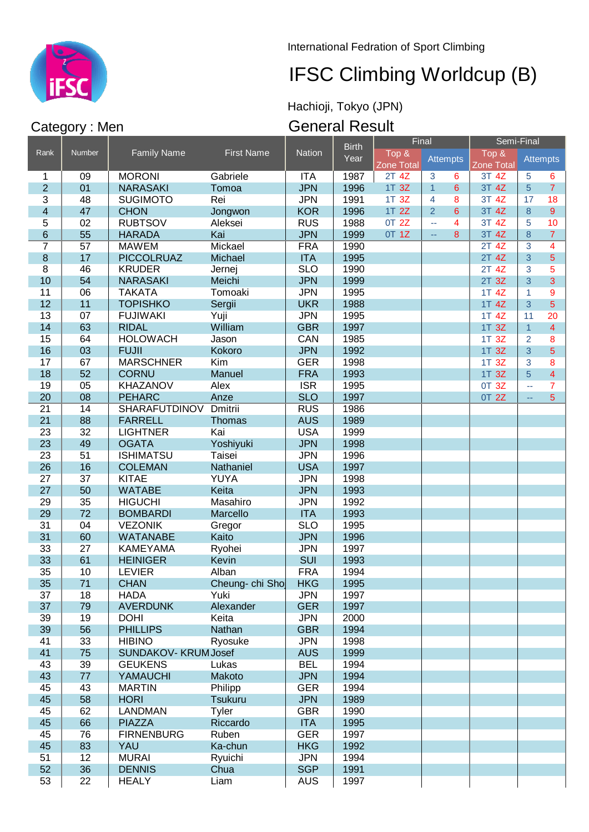

International Fedration of Sport Climbing

# IFSC Climbing Worldcup (B)

Hachioji, Tokyo (JPN)

### General Result

|                 |                 |                      |                   |               | <b>Birth</b> | Final                      |                                  | Semi-Final                 |                           |                 |
|-----------------|-----------------|----------------------|-------------------|---------------|--------------|----------------------------|----------------------------------|----------------------------|---------------------------|-----------------|
| Rank            | Number          | <b>Family Name</b>   | <b>First Name</b> | <b>Nation</b> | Year         | Top &<br><b>Zone Total</b> | Attempts                         | Top &<br><b>Zone Total</b> |                           | <b>Attempts</b> |
| 1               | 09              | <b>MORONI</b>        | Gabriele          | <b>ITA</b>    | 1987         | 2T 4Z                      | $\overline{3}$<br>6              | $3T$ $4Z$                  | 5                         | 6               |
| $\overline{2}$  | 01              | <b>NARASAKI</b>      | Tomoa             | <b>JPN</b>    | 1996         | 1T 3Z                      | $\overline{1}$<br>$6\phantom{1}$ | 3T 4Z                      | 5                         | $\mathbf{7}$    |
| $\overline{3}$  | 48              | <b>SUGIMOTO</b>      | Rei               | <b>JPN</b>    | 1991         | 1T 3Z                      | $\overline{\mathbf{4}}$<br>8     | 3T 4Z                      | 17                        | 18              |
| 4               | 47              | <b>CHON</b>          | Jongwon           | <b>KOR</b>    | 1996         | 1T 2Z                      | $\overline{2}$<br>6              | 3T 4Z                      | $\bf 8$                   | 9 <sup>°</sup>  |
| 5               | 02              | <b>RUBTSOV</b>       | Aleksei           | <b>RUS</b>    | 1988         | 0T 2Z                      | 4<br>ц.                          | 3T 4Z                      | 5                         | 10              |
| 6               | 55              | <b>HARADA</b>        | Kai               | <b>JPN</b>    | 1999         | 0T 1Z                      | 8<br>$\mathbb{Z} \to$            | 3T 4Z                      | $\delta$                  | $\overline{7}$  |
| $\overline{7}$  | $\overline{57}$ | <b>MAWEM</b>         | Mickael           | <b>FRA</b>    | 1990         |                            |                                  | $2T$ 4Z                    | $\overline{3}$            | 4               |
| $\bf 8$         | 17              | <b>PICCOLRUAZ</b>    | Michael           | <b>ITA</b>    | 1995         |                            |                                  | $2T$ 4Z                    | 3                         | 5               |
| $\overline{8}$  | 46              | <b>KRUDER</b>        | Jernej            | <b>SLO</b>    | 1990         |                            |                                  | $2T$ 4Z                    | 3                         | 5               |
| 10              | 54              | <b>NARASAKI</b>      | Meichi            | <b>JPN</b>    | 1999         |                            |                                  | 2T 3Z                      | 3                         | 3               |
| 11              | 06              | <b>TAKATA</b>        | Tomoaki           | <b>JPN</b>    | 1995         |                            |                                  | 1T 4Z                      | 1                         | 9               |
| 12              | 11              | <b>TOPISHKO</b>      | Sergii            | <b>UKR</b>    | 1988         |                            |                                  | 1T 4Z                      | 3                         | 5               |
| 13              | 07              | <b>FUJIWAKI</b>      | Yuji              | <b>JPN</b>    | 1995         |                            |                                  | 1T 4Z                      | 11                        | 20              |
| 14              | 63              | <b>RIDAL</b>         | William           | <b>GBR</b>    | 1997         |                            |                                  | 1T 3Z                      | $\overline{1}$            | $\overline{4}$  |
| 15              | 64              | <b>HOLOWACH</b>      | Jason             | CAN           | 1985         |                            |                                  | 1T 3Z                      | $\overline{2}$            | 8               |
| 16              | 03              | <b>FUJII</b>         | Kokoro            | <b>JPN</b>    | 1992         |                            |                                  | 1T 3Z                      | 3                         | 5               |
| 17              | 67              | <b>MARSCHNER</b>     | Kim               | <b>GER</b>    | 1998         |                            |                                  | 1T 3Z                      | 3                         | 8               |
| 18              | 52              | <b>CORNU</b>         | Manuel            | <b>FRA</b>    | 1993         |                            |                                  | 1T 3Z                      | 5                         | $\overline{4}$  |
| 19              | 05              | <b>KHAZANOV</b>      | Alex              | <b>ISR</b>    | 1995         |                            |                                  | 0T 3Z                      | $\mathbb{Z}^{\mathbb{Z}}$ | $\overline{7}$  |
| 20              | 08              | <b>PEHARC</b>        | Anze              | <b>SLO</b>    | 1997         |                            |                                  | 0T 2Z                      | $\mathbb{L} \mathbb{L}$   | 5               |
| $\overline{21}$ | 14              | <b>SHARAFUTDINOV</b> | <b>Dmitrii</b>    | <b>RUS</b>    | 1986         |                            |                                  |                            |                           |                 |
| 21              | 88              | <b>FARRELL</b>       | <b>Thomas</b>     | <b>AUS</b>    | 1989         |                            |                                  |                            |                           |                 |
| 23              | 32              | <b>LIGHTNER</b>      | Kai               | <b>USA</b>    | 1999         |                            |                                  |                            |                           |                 |
| 23              | 49              | <b>OGATA</b>         | Yoshiyuki         | <b>JPN</b>    | 1998         |                            |                                  |                            |                           |                 |
| 23              | 51              | <b>ISHIMATSU</b>     | <b>Taisei</b>     | <b>JPN</b>    | 1996         |                            |                                  |                            |                           |                 |
| 26              | 16              | <b>COLEMAN</b>       | Nathaniel         | <b>USA</b>    | 1997         |                            |                                  |                            |                           |                 |
| 27              | 37              | <b>KITAE</b>         | YUYA              | <b>JPN</b>    | 1998         |                            |                                  |                            |                           |                 |
| 27              | 50              | <b>WATABE</b>        | Keita             | <b>JPN</b>    | 1993         |                            |                                  |                            |                           |                 |
| 29              | 35              | <b>HIGUCHI</b>       | Masahiro          | <b>JPN</b>    | 1992         |                            |                                  |                            |                           |                 |
| 29              | 72              | <b>BOMBARDI</b>      | Marcello          | <b>ITA</b>    | 1993         |                            |                                  |                            |                           |                 |
| 31              | 04              | <b>VEZONIK</b>       | Gregor            | <b>SLO</b>    | 1995         |                            |                                  |                            |                           |                 |
| 31              | 60              | <b>WATANABE</b>      | Kaito             | <b>JPN</b>    | 1996         |                            |                                  |                            |                           |                 |
| 33              | 27              | <b>KAMEYAMA</b>      | Ryohei            | <b>JPN</b>    | 1997         |                            |                                  |                            |                           |                 |
| 33              | 61              | <b>HEINIGER</b>      | Kevin             | SUI           | 1993         |                            |                                  |                            |                           |                 |
| 35              | 10              | <b>LEVIER</b>        | Alban             | <b>FRA</b>    | 1994         |                            |                                  |                            |                           |                 |
| 35              | 71              | <b>CHAN</b>          | Cheung- chi Sho   | <b>HKG</b>    | 1995         |                            |                                  |                            |                           |                 |
| 37              | 18              | <b>HADA</b>          | Yuki              | <b>JPN</b>    | 1997         |                            |                                  |                            |                           |                 |
| 37              | 79              | <b>AVERDUNK</b>      | Alexander         | <b>GER</b>    | 1997         |                            |                                  |                            |                           |                 |
| 39              | 19              | <b>DOHI</b>          | Keita             | <b>JPN</b>    | 2000         |                            |                                  |                            |                           |                 |
| 39              | 56              | <b>PHILLIPS</b>      | Nathan            | <b>GBR</b>    | 1994         |                            |                                  |                            |                           |                 |
| 41              | 33              | <b>HIBINO</b>        | Ryosuke           | <b>JPN</b>    | 1998         |                            |                                  |                            |                           |                 |
| 41              | 75              | SUNDAKOV-KRUM Josef  |                   | <b>AUS</b>    | 1999         |                            |                                  |                            |                           |                 |
| 43              | 39              | <b>GEUKENS</b>       | Lukas             | <b>BEL</b>    | 1994         |                            |                                  |                            |                           |                 |
| 43              | 77              | YAMAUCHI             | Makoto            | <b>JPN</b>    | 1994         |                            |                                  |                            |                           |                 |
| 45              | 43              | <b>MARTIN</b>        | Philipp           | <b>GER</b>    | 1994         |                            |                                  |                            |                           |                 |
| 45              | 58              | <b>HORI</b>          | <b>Tsukuru</b>    | <b>JPN</b>    | 1989         |                            |                                  |                            |                           |                 |
| 45              | 62              | <b>LANDMAN</b>       | Tyler             | <b>GBR</b>    | 1990         |                            |                                  |                            |                           |                 |
| 45              | 66              | <b>PIAZZA</b>        | Riccardo          | <b>ITA</b>    | 1995         |                            |                                  |                            |                           |                 |
| 45              | 76              | <b>FIRNENBURG</b>    | Ruben             | <b>GER</b>    | 1997         |                            |                                  |                            |                           |                 |
| 45              | 83              | YAU                  | Ka-chun           | <b>HKG</b>    | 1992         |                            |                                  |                            |                           |                 |
| 51              | 12              | <b>MURAI</b>         | Ryuichi           | <b>JPN</b>    | 1994         |                            |                                  |                            |                           |                 |
| 52              | 36              | <b>DENNIS</b>        | Chua              | <b>SGP</b>    | 1991         |                            |                                  |                            |                           |                 |
| 53              | 22              | <b>HEALY</b>         | Liam              | <b>AUS</b>    | 1997         |                            |                                  |                            |                           |                 |

### Category : Men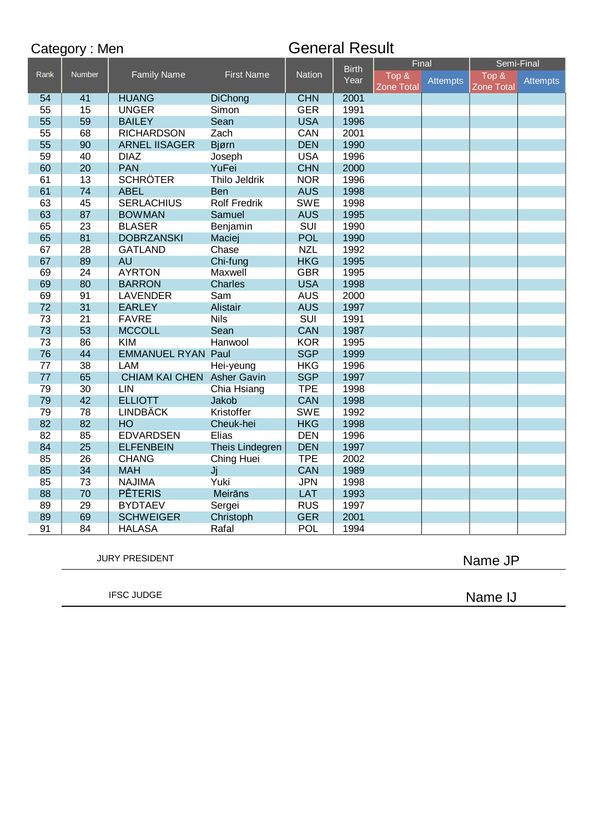|                            | Category: Men   |                            |                      | <b>General Result</b> |                      |                              |                 |                                                       |                 |
|----------------------------|-----------------|----------------------------|----------------------|-----------------------|----------------------|------------------------------|-----------------|-------------------------------------------------------|-----------------|
| $\overline{\mathsf{Rank}}$ | Number          | <b>Family Name</b>         | <b>First Name</b>    | Nation                | <b>Birth</b><br>Year | Final<br>Top &<br>Zone Total | <b>Attempts</b> | Semi-Final<br>$\overline{Top}$ &<br><b>Zone Total</b> | <b>Attempts</b> |
| 54                         | 41              | <b>HUANG</b>               | <b>DiChong</b>       | <b>CHN</b>            | 2001                 |                              |                 |                                                       |                 |
| 55                         | 15              | <b>UNGER</b>               | Simon                | <b>GER</b>            | 1991                 |                              |                 |                                                       |                 |
| 55                         | 59              | <b>BAILEY</b>              | Sean                 | <b>USA</b>            | 1996                 |                              |                 |                                                       |                 |
| 55                         | 68              | <b>RICHARDSON</b>          | Zach                 | <b>CAN</b>            | 2001                 |                              |                 |                                                       |                 |
| 55                         | 90              | <b>ARNEL IISAGER</b>       | Bjørn                | <b>DEN</b>            | 1990                 |                              |                 |                                                       |                 |
| 59                         | 40              | <b>DIAZ</b>                | Joseph               | <b>USA</b>            | 1996                 |                              |                 |                                                       |                 |
| 60                         | 20              | <b>PAN</b>                 | YuFei                | <b>CHN</b>            | 2000                 |                              |                 |                                                       |                 |
| 61                         | 13              | <b>SCHRÖTER</b>            | <b>Thilo Jeldrik</b> | <b>NOR</b>            | 1996                 |                              |                 |                                                       |                 |
| 61                         | 74              | <b>ABEL</b>                | Ben                  | <b>AUS</b>            | 1998                 |                              |                 |                                                       |                 |
| 63                         | 45              | <b>SERLACHIUS</b>          | <b>Rolf Fredrik</b>  | <b>SWE</b>            | 1998                 |                              |                 |                                                       |                 |
| 63                         | 87              | <b>BOWMAN</b>              | Samuel               | <b>AUS</b>            | 1995                 |                              |                 |                                                       |                 |
| 65                         | 23              | <b>BLASER</b>              | Benjamin             | <b>SUI</b>            | 1990                 |                              |                 |                                                       |                 |
| 65                         | 81              | <b>DOBRZANSKI</b>          | Maciej               | <b>POL</b>            | 1990                 |                              |                 |                                                       |                 |
| 67                         | $\overline{28}$ | <b>GATLAND</b>             | Chase                | <b>NZL</b>            | 1992                 |                              |                 |                                                       |                 |
| 67                         | 89              | <b>AU</b>                  | Chi-fung             | <b>HKG</b>            | 1995                 |                              |                 |                                                       |                 |
| 69                         | 24              | <b>AYRTON</b>              | Maxwell              | <b>GBR</b>            | 1995                 |                              |                 |                                                       |                 |
| 69                         | 80              | <b>BARRON</b>              | <b>Charles</b>       | <b>USA</b>            | 1998                 |                              |                 |                                                       |                 |
| 69                         | 91              | <b>LAVENDER</b>            | Sam                  | <b>AUS</b>            | 2000                 |                              |                 |                                                       |                 |
| 72                         | 31              | <b>EARLEY</b>              | Alistair             | <b>AUS</b>            | 1997                 |                              |                 |                                                       |                 |
| 73                         | $\overline{21}$ | <b>FAVRE</b>               | <b>Nils</b>          | <b>SUI</b>            | 1991                 |                              |                 |                                                       |                 |
| 73                         | 53              | <b>MCCOLL</b>              | Sean                 | CAN                   | 1987                 |                              |                 |                                                       |                 |
| 73                         | 86              | <b>KIM</b>                 | Hanwool              | <b>KOR</b>            | 1995                 |                              |                 |                                                       |                 |
| 76                         | 44              | <b>EMMANUEL RYAN Paul</b>  |                      | <b>SGP</b>            | 1999                 |                              |                 |                                                       |                 |
| 77                         | 38              | <b>LAM</b>                 | Hei-yeung            | <b>HKG</b>            | 1996                 |                              |                 |                                                       |                 |
| 77                         | 65              | CHIAM KAI CHEN Asher Gavin |                      | <b>SGP</b>            | 1997                 |                              |                 |                                                       |                 |
| 79                         | 30              | <b>LIN</b>                 | Chia Hsiang          | <b>TPE</b>            | 1998                 |                              |                 |                                                       |                 |
| 79                         | 42              | <b>ELLIOTT</b>             | Jakob                | <b>CAN</b>            | 1998                 |                              |                 |                                                       |                 |
| 79                         | 78              | <b>LINDBÄCK</b>            | Kristoffer           | <b>SWE</b>            | 1992                 |                              |                 |                                                       |                 |
| 82                         | 82              | HO                         | Cheuk-hei            | <b>HKG</b>            | 1998                 |                              |                 |                                                       |                 |
| 82                         | 85              | <b>EDVARDSEN</b>           | Elias                | <b>DEN</b>            | 1996                 |                              |                 |                                                       |                 |
| 84                         | 25              | <b>ELFENBEIN</b>           | Theis Lindegren      | <b>DEN</b>            | 1997                 |                              |                 |                                                       |                 |
| 85                         | 26              | <b>CHANG</b>               | Ching Huei           | <b>TPE</b>            | 2002                 |                              |                 |                                                       |                 |
| 85                         | 34              | <b>MAH</b>                 | Jj                   | <b>CAN</b>            | 1989                 |                              |                 |                                                       |                 |
| 85                         | 73              | <b>NAJIMA</b>              | Yuki                 | <b>JPN</b>            | 1998                 |                              |                 |                                                       |                 |
| 88                         | 70              | <b>PĒTERIS</b>             | Meirāns              | LAT                   | 1993                 |                              |                 |                                                       |                 |
| 89                         | 29              | <b>BYDTAEV</b>             | Sergei               | <b>RUS</b>            | 1997                 |                              |                 |                                                       |                 |
| 89                         | 69              | <b>SCHWEIGER</b>           | Christoph            | <b>GER</b>            | 2001                 |                              |                 |                                                       |                 |
| 91                         | 84              | <b>HALASA</b>              | Rafal                | <b>POL</b>            | 1994                 |                              |                 |                                                       |                 |

JURY PRESIDENT

Name JP

IFSC JUDGE

Name IJ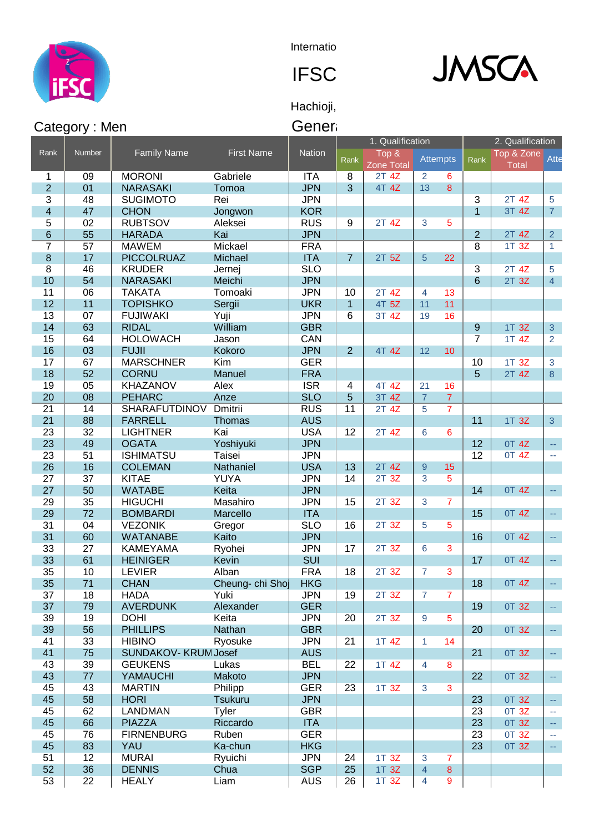

**Internatio** 



Hachioji,

|                         | Category: Men   |                      |                   | Gener         |                |                   |                 |                         |                   |                  |                         |
|-------------------------|-----------------|----------------------|-------------------|---------------|----------------|-------------------|-----------------|-------------------------|-------------------|------------------|-------------------------|
|                         |                 |                      |                   |               |                | 1. Qualification  |                 |                         |                   | 2. Qualification |                         |
| Rank                    | <b>Number</b>   | <b>Family Name</b>   | <b>First Name</b> | <b>Nation</b> |                | Top &             |                 | <b>Attempts</b>         | Rank <sup>1</sup> | Top & Zone       | Atte                    |
|                         |                 |                      |                   |               | Rank           | <b>Zone Total</b> |                 |                         |                   | <b>Total</b>     |                         |
| 1                       | 09              | <b>MORONI</b>        | Gabriele          | <b>ITA</b>    | 8              | 2T 4Z             | $\overline{2}$  | 6                       |                   |                  |                         |
| $\overline{2}$          | 01              | <b>NARASAKI</b>      | Tomoa             | <b>JPN</b>    | 3              | 4T 4Z             | 13              | 8                       |                   |                  |                         |
| 3                       | 48              | <b>SUGIMOTO</b>      | Rei               | <b>JPN</b>    |                |                   |                 |                         | 3                 | 2T 4Z            | 5                       |
| $\overline{\mathbf{4}}$ | 47              | <b>CHON</b>          | Jongwon           | <b>KOR</b>    |                |                   |                 |                         | 1                 | 3T 4Z            | 7 <sup>1</sup>          |
| 5                       | 02              | <b>RUBTSOV</b>       | Aleksei           | <b>RUS</b>    | 9              | 2T 4Z             | 3               | 5                       |                   |                  |                         |
| 6                       | 55              | <b>HARADA</b>        | Kai               | <b>JPN</b>    |                |                   |                 |                         | $\overline{2}$    | 2T 4Z            | 2 <sup>7</sup>          |
| $\overline{7}$          | $\overline{57}$ | <b>MAWEM</b>         | Mickael           | <b>FRA</b>    |                |                   |                 |                         | 8                 | 1T <sub>3Z</sub> | $\mathbf{1}$            |
| 8                       | 17              | <b>PICCOLRUAZ</b>    | Michael           | <b>ITA</b>    | $\overline{7}$ | 2T <sub>5Z</sub>  | 5               | 22                      |                   |                  |                         |
| 8                       | 46              | <b>KRUDER</b>        | Jernej            | <b>SLO</b>    |                |                   |                 |                         | 3                 | 2T 4Z            | 5                       |
| 10                      | 54              | <b>NARASAKI</b>      | Meichi            | <b>JPN</b>    |                |                   |                 |                         | 6                 | 2T 3Z            | $\overline{4}$          |
| 11                      | 06              | <b>TAKATA</b>        | Tomoaki           | <b>JPN</b>    | 10             | 2T 4Z             | $\overline{4}$  | 13                      |                   |                  |                         |
| 12                      | 11              | <b>TOPISHKO</b>      | Sergii            | <b>UKR</b>    | $\overline{1}$ | 4T 5Z             | 11              | 11                      |                   |                  |                         |
| 13                      | 07              | <b>FUJIWAKI</b>      | Yuji              | <b>JPN</b>    | 6              | 3T 4Z             | 19              | 16                      |                   |                  |                         |
| 14                      | 63              | <b>RIDAL</b>         | William           | <b>GBR</b>    |                |                   |                 |                         | $\boldsymbol{9}$  | 1T 3Z            | 3                       |
| 15                      | 64              | <b>HOLOWACH</b>      | Jason             | <b>CAN</b>    |                |                   |                 |                         | $\overline{7}$    | 1T 4Z            | $\overline{2}$          |
| 16                      | 03              | <b>FUJII</b>         | Kokoro            | <b>JPN</b>    | 2              | 4T 4Z             | 12              | 10 <sup>1</sup>         |                   |                  |                         |
| 17                      | 67              | <b>MARSCHNER</b>     | Kim               | <b>GER</b>    |                |                   |                 |                         | 10                | 1T 3Z            | 3                       |
| 18                      | 52              | <b>CORNU</b>         | Manuel            | <b>FRA</b>    |                |                   |                 |                         | 5                 | 2T 4Z            | $\bf{8}$                |
| 19                      | 05              | KHAZANOV             | Alex              | <b>ISR</b>    | 4              | 4T 4Z             | $\overline{21}$ | 16                      |                   |                  |                         |
| 20                      | 08              | <b>PEHARC</b>        | Anze              | <b>SLO</b>    | 5              | 3T 4Z             | $\overline{7}$  | 7                       |                   |                  |                         |
| $\overline{21}$         | $\overline{14}$ | <b>SHARAFUTDINOV</b> | Dmitrii           | <b>RUS</b>    | 11             | $2T$ 4Z           | 5               | $\overline{\mathbf{7}}$ |                   |                  |                         |
| 21                      | 88              | <b>FARRELL</b>       | Thomas            | <b>AUS</b>    |                |                   |                 |                         | 11                | 1T 3Z            | 3 <sup>1</sup>          |
| 23                      | 32              | <b>LIGHTNER</b>      | Kai               | <b>USA</b>    | 12             | 2T 4Z             | 6               | 6                       |                   |                  |                         |
| 23                      | 49              | <b>OGATA</b>         | Yoshiyuki         | <b>JPN</b>    |                |                   |                 |                         | 12                | 0T 4Z            | Щ,                      |
| 23                      | 51              | <b>ISHIMATSU</b>     | Taisei            | <b>JPN</b>    |                |                   |                 |                         | 12                | 0T 4Z            | $\mathbb{L} \mathbb{L}$ |
| 26                      | 16              | <b>COLEMAN</b>       | Nathaniel         | <b>USA</b>    | 13             | 2T 4Z             | $9$             | 15                      |                   |                  |                         |
| $\overline{27}$         | 37              | <b>KITAE</b>         | <b>YUYA</b>       | <b>JPN</b>    | 14             | 2T 3Z             | 3               | 5                       |                   |                  |                         |
| 27                      | 50              | <b>WATABE</b>        | Keita             | <b>JPN</b>    |                |                   |                 |                         | 14                | 0T 4Z            | $\omega_{\rm m}$        |
| 29                      | 35              | <b>HIGUCHI</b>       | Masahiro          | <b>JPN</b>    | 15             | 2T 3Z             | 3               | $\overline{7}$          |                   |                  |                         |
| 29                      | 72              | <b>BOMBARDI</b>      | Marcello          | <b>ITA</b>    |                |                   |                 |                         | 15                | 0T 4Z            | ш.                      |
| 31                      | 04              | <b>VEZONIK</b>       | Gregor            | <b>SLO</b>    | 16             | 2T 3Z             | 5               | 5                       |                   |                  |                         |
| 31                      | 60              | <b>WATANABE</b>      | Kaito             | <b>JPN</b>    |                |                   |                 |                         | 16                | <b>OT 4Z</b>     | $\omega_{\rm{m}}$       |
| 33                      | $\overline{27}$ | <b>KAMEYAMA</b>      | Ryohei            | <b>JPN</b>    | 17             | 2T 3Z             | 6               | 3                       |                   |                  |                         |
| 33                      | 61              | <b>HEINIGER</b>      | <b>Kevin</b>      | SUI           |                |                   |                 |                         | 17                | 0T 4Z            | $\mathbb{L} \mathbb{L}$ |
| 35                      | 10              | <b>LEVIER</b>        | Alban             | <b>FRA</b>    | 18             | 2T 3Z             | $\overline{7}$  | 3                       |                   |                  |                         |
| 35                      | 71              | <b>CHAN</b>          | Cheung- chi Shoj  | <b>HKG</b>    |                |                   |                 |                         | 18                | <b>OT 4Z</b>     | 44                      |
| 37                      | 18              | <b>HADA</b>          | Yuki              | <b>JPN</b>    | 19             | 2T 3Z             | $\overline{7}$  | 7                       |                   |                  |                         |
| 37                      | 79              | <b>AVERDUNK</b>      | Alexander         | <b>GER</b>    |                |                   |                 |                         | 19                | 0T 3Z            | 44                      |
| 39                      | 19              | <b>DOHI</b>          | Keita             | <b>JPN</b>    | 20             | 2T 3Z             | 9               | 5                       |                   |                  |                         |
| 39                      | 56              | <b>PHILLIPS</b>      | Nathan            | <b>GBR</b>    |                |                   |                 |                         | 20                | 0T 3Z            | $\sim$                  |
| 41                      | 33              | <b>HIBINO</b>        | Ryosuke           | <b>JPN</b>    | 21             | 1T 4Z             | $\mathbf{1}$    | 14                      |                   |                  |                         |
| 41                      | 75              | SUNDAKOV- KRUM Josef |                   | <b>AUS</b>    |                |                   |                 |                         | 21                | 0T 3Z            | $\omega_{\rm m}$        |
| 43                      | 39              | <b>GEUKENS</b>       | Lukas             | <b>BEL</b>    | 22             | 1T 4Z             | $\overline{4}$  | 8                       |                   |                  |                         |
| 43                      | 77              | YAMAUCHI             | Makoto            | <b>JPN</b>    |                |                   |                 |                         | 22                | 0T 3Z            | $\omega_{\rm m}$        |
| 45                      | 43              | <b>MARTIN</b>        | Philipp           | <b>GER</b>    | 23             | 1T <sub>3Z</sub>  | $\overline{3}$  | 3                       |                   |                  |                         |
| 45                      | 58              | <b>HORI</b>          | <b>Tsukuru</b>    | <b>JPN</b>    |                |                   |                 |                         | 23                | 0T 3Z            | $\omega\omega$          |
| 45                      | 62              | <b>LANDMAN</b>       | Tyler             | <b>GBR</b>    |                |                   |                 |                         | 23                | 0T 3Z            | 44                      |
| 45                      | 66              | <b>PIAZZA</b>        | Riccardo          | <b>ITA</b>    |                |                   |                 |                         | 23                | 0T 3Z            | $\omega_{\rm{m}}$       |
| 45                      | 76              | <b>FIRNENBURG</b>    | Ruben             | <b>GER</b>    |                |                   |                 |                         | 23                | 0T 3Z            | ÷,                      |
| 45                      | 83              | YAU                  | Ka-chun           | <b>HKG</b>    |                |                   |                 |                         | 23                | OT 3Z            | $\sim$                  |
| 51                      | 12              | <b>MURAI</b>         | Ryuichi           | <b>JPN</b>    | 24             | 1T 3Z             | $\mathbf{3}$    | $\overline{7}$          |                   |                  |                         |
| 52                      | 36              | <b>DENNIS</b>        | Chua              | <b>SGP</b>    | 25             | 1T 3Z             | $\overline{4}$  | 8                       |                   |                  |                         |

1T 3Z 4 9

 $\overline{\phantom{a}}$ 

22 HEALY Liam AUS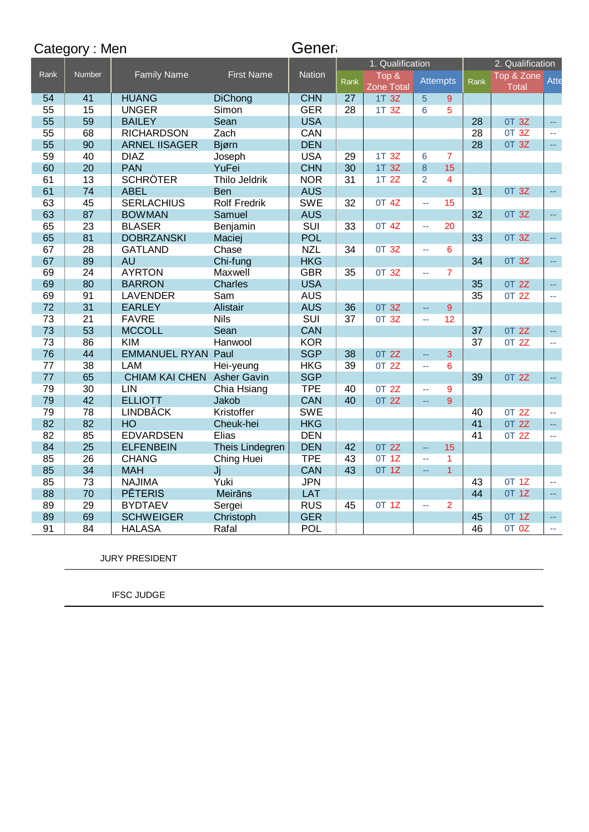|                 | Category: Men   |                            |                     | Gener         |                 |                            |                             |                 |      |                     |                             |
|-----------------|-----------------|----------------------------|---------------------|---------------|-----------------|----------------------------|-----------------------------|-----------------|------|---------------------|-----------------------------|
|                 |                 |                            |                     |               |                 | 1. Qualification           |                             |                 |      | 2. Qualification    |                             |
| Rank            | Number          | <b>Family Name</b>         | <b>First Name</b>   | <b>Nation</b> | Rank            | Top &<br><b>Zone Total</b> |                             | <b>Attempts</b> | Rank | Top & Zone<br>Total | Atte                        |
| 54              | 41              | <b>HUANG</b>               | <b>DiChong</b>      | <b>CHN</b>    | 27              | 1T 3Z                      | 5                           | $9^{\circ}$     |      |                     |                             |
| 55              | 15              | <b>UNGER</b>               | Simon               | <b>GER</b>    | 28              | 1T 3Z                      | 6                           | 5               |      |                     |                             |
| 55              | 59              | <b>BAILEY</b>              | Sean                | <b>USA</b>    |                 |                            |                             |                 | 28   | 0T 3Z               | $\Box$                      |
| 55              | 68              | <b>RICHARDSON</b>          | Zach                | <b>CAN</b>    |                 |                            |                             |                 | 28   | 0T 3Z               | $\mathcal{L}^{\mathcal{L}}$ |
| 55              | 90              | <b>ARNEL IISAGER</b>       | Bjørn               | <b>DEN</b>    |                 |                            |                             |                 | 28   | 0T 3Z               | цú.                         |
| 59              | 40              | <b>DIAZ</b>                | Joseph              | <b>USA</b>    | 29              | 1T 3Z                      | 6                           | $\overline{7}$  |      |                     |                             |
| 60              | 20              | <b>PAN</b>                 | YuFei               | <b>CHN</b>    | 30              | 1T 3Z                      | 8                           | 15              |      |                     |                             |
| 61              | 13              | <b>SCHRÖTER</b>            | Thilo Jeldrik       | <b>NOR</b>    | $\overline{31}$ | 1T 2Z                      | 2                           | $\overline{4}$  |      |                     |                             |
| 61              | 74              | <b>ABEL</b>                | <b>Ben</b>          | <b>AUS</b>    |                 |                            |                             |                 | 31   | 0T 3Z               | ш.                          |
| 63              | 45              | <b>SERLACHIUS</b>          | <b>Rolf Fredrik</b> | <b>SWE</b>    | 32              | 0T 4Z                      | $\mathbb{Z}^{\mathbb{Z}}$   | 15              |      |                     |                             |
| 63              | 87              | <b>BOWMAN</b>              | Samuel              | <b>AUS</b>    |                 |                            |                             |                 | 32   | 0T 3Z               | цú.                         |
| 65              | 23              | <b>BLASER</b>              | Benjamin            | <b>SUI</b>    | 33              | 0T 4Z                      | $\sim$                      | 20              |      |                     |                             |
| 65              | 81              | <b>DOBRZANSKI</b>          | Maciej              | <b>POL</b>    |                 |                            |                             |                 | 33   | 0T 3Z               | ш.                          |
| 67              | 28              | <b>GATLAND</b>             | Chase               | <b>NZL</b>    | 34              | 0T 3Z                      | $\mathcal{L}_{\mathcal{A}}$ | 6               |      |                     |                             |
| 67              | 89              | <b>AU</b>                  | Chi-fung            | <b>HKG</b>    |                 |                            |                             |                 | 34   | 0T 3Z               | ш.                          |
| 69              | 24              | <b>AYRTON</b>              | Maxwell             | <b>GBR</b>    | 35              | 0T 3Z                      | $\sim$                      | $\overline{7}$  |      |                     |                             |
| 69              | 80              | <b>BARRON</b>              | <b>Charles</b>      | <b>USA</b>    |                 |                            |                             |                 | 35   | 0T 2Z               | ц.                          |
| 69              | 91              | <b>LAVENDER</b>            | Sam                 | <b>AUS</b>    |                 |                            |                             |                 | 35   | 0T 2Z               | $\mathcal{L}_{\mathcal{A}}$ |
| 72              | 31              | <b>EARLEY</b>              | <b>Alistair</b>     | <b>AUS</b>    | 36              | 0T 3Z                      | $\mathbb{L} \mathbb{L}$     | 9               |      |                     |                             |
| 73              | $\overline{21}$ | <b>FAVRE</b>               | <b>Nils</b>         | <b>SUI</b>    | $\overline{37}$ | 0T 3Z                      | $\mathbb{Z}^{\mathbb{Z}}$   | 12              |      |                     |                             |
| 73              | 53              | <b>MCCOLL</b>              | Sean                | <b>CAN</b>    |                 |                            |                             |                 | 37   | 0T 2Z               | u,                          |
| 73              | 86              | <b>KIM</b>                 | Hanwool             | <b>KOR</b>    |                 |                            |                             |                 | 37   | 0T 2Z               | $\sim$                      |
| 76              | 44              | <b>EMMANUEL RYAN Paul</b>  |                     | <b>SGP</b>    | 38              | 0T 2Z                      | $\mathbb{L} \mathbb{L}$     | 3               |      |                     |                             |
| $\overline{77}$ | 38              | <b>LAM</b>                 | Hei-yeung           | <b>HKG</b>    | 39              | 0T 2Z                      | $\mathbb{Z}^{\mathbb{Z}}$   | 6               |      |                     |                             |
| 77              | 65              | CHIAM KAI CHEN Asher Gavin |                     | <b>SGP</b>    |                 |                            |                             |                 | 39   | 0T 2Z               | ш.                          |
| 79              | 30              | <b>LIN</b>                 | Chia Hsiang         | <b>TPE</b>    | 40              | 0T 2Z                      | $\mathbb{Z}^{\mathbb{Z}}$   | 9               |      |                     |                             |
| 79              | 42              | <b>ELLIOTT</b>             | Jakob               | <b>CAN</b>    | 40              | 0T 2Z                      | $\mathbb{L} \mathbb{L}$     | 9               |      |                     |                             |
| 79              | 78              | <b>LINDBÄCK</b>            | Kristoffer          | <b>SWE</b>    |                 |                            |                             |                 | 40   | 0T 2Z               | $\sim$ $\sim$               |
| 82              | 82              | HO                         | Cheuk-hei           | <b>HKG</b>    |                 |                            |                             |                 | 41   | 0T 2Z               | ц,                          |
| 82              | 85              | <b>EDVARDSEN</b>           | Elias               | <b>DEN</b>    |                 |                            |                             |                 | 41   | 0T 2Z               | ц.                          |
| 84              | 25              | <b>ELFENBEIN</b>           | Theis Lindegren     | <b>DEN</b>    | 42              | 0T 2Z                      | $\mathbb{Z} \to \mathbb{R}$ | 15              |      |                     |                             |
| 85              | 26              | <b>CHANG</b>               | Ching Huei          | <b>TPE</b>    | 43              | 0T 1Z                      | $\mathbb{Z}^{\mathbb{Z}}$   | $\mathbf{1}$    |      |                     |                             |
| 85              | 34              | <b>MAH</b>                 | Jj                  | <b>CAN</b>    | 43              | <b>OT 1Z</b>               | uu.                         | $\overline{1}$  |      |                     |                             |
| 85              | 73              | <b>NAJIMA</b>              | Yuki                | <b>JPN</b>    |                 |                            |                             |                 | 43   | <b>OT 1Z</b>        | цц.                         |
| 88              | 70              | <b>PĒTERIS</b>             | <b>Meirāns</b>      | LAT           |                 |                            |                             |                 | 44   | 0T 1Z               | ш.                          |
| 89              | 29              | <b>BYDTAEV</b>             | Sergei              | <b>RUS</b>    | 45              | 0T 1Z                      | $\mathbb{Z}^{\mathbb{Z}}$   | $\overline{2}$  |      |                     |                             |
| 89              | 69              | <b>SCHWEIGER</b>           | Christoph           | <b>GER</b>    |                 |                            |                             |                 | 45   | 0T 1Z               | цü                          |
| 91              | 84              | <b>HALASA</b>              | Rafal               | POL           |                 |                            |                             |                 | 46   | OT OZ               | $\mathbb{Z}^{\mathbb{Z}}$   |

JURY PRESIDENT

IFSC JUDGE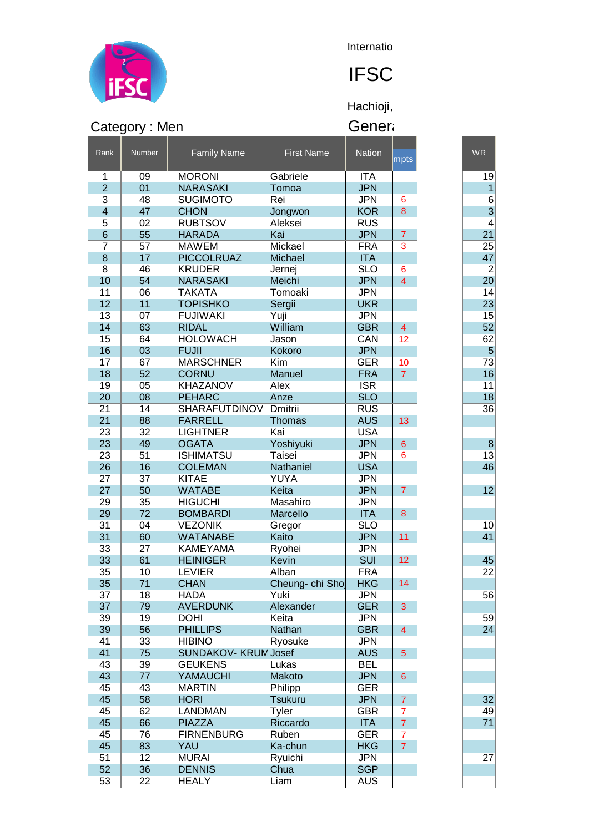

**Internatio** 

## **IFSC**

Hachioji,

|                         | Category: Men   |                                  |                     | Gener                    |                          |                |
|-------------------------|-----------------|----------------------------------|---------------------|--------------------------|--------------------------|----------------|
| Rank                    | Number          | <b>Family Name</b>               | <b>First Name</b>   | <b>Nation</b>            | mpts                     | <b>WR</b>      |
| 1                       | 09              | <b>MORONI</b>                    | Gabriele            | <b>ITA</b>               |                          | 19             |
| $\overline{2}$          | 01              | <b>NARASAKI</b>                  | Tomoa               | <b>JPN</b>               |                          | 1              |
| 3                       | 48              | <b>SUGIMOTO</b>                  | Rei                 | <b>JPN</b>               | 6                        | 6              |
| $\overline{\mathbf{4}}$ | 47              | <b>CHON</b>                      | Jongwon             | <b>KOR</b>               | 8                        | 3              |
| 5                       | 02              | <b>RUBTSOV</b>                   | Aleksei             | <b>RUS</b>               |                          | 4              |
| $6\phantom{1}$          | 55              | <b>HARADA</b>                    | Kai                 | <b>JPN</b>               | $\overline{7}$           | 21             |
| 7                       | 57              | <b>MAWEM</b>                     | Mickael             | <b>FRA</b>               | 3                        | 25             |
| $\bf8$                  | 17              | <b>PICCOLRUAZ</b>                | Michael             | <b>ITA</b>               |                          | 47             |
| 8                       | 46              | <b>KRUDER</b>                    | Jernej              | <b>SLO</b>               | 6                        | $\overline{2}$ |
| 10                      | 54              | <b>NARASAKI</b>                  | Meichi              | <b>JPN</b>               | $\overline{4}$           | 20             |
| 11                      | 06              | <b>TAKATA</b>                    | Tomoaki             | <b>JPN</b>               |                          | 14             |
| 12                      | 11              | <b>TOPISHKO</b>                  | Sergii              | <b>UKR</b>               |                          | 23             |
| 13                      | 07              | <b>FUJIWAKI</b>                  | Yuji                | <b>JPN</b>               |                          | 15             |
| 14                      | 63              | <b>RIDAL</b>                     | William             | <b>GBR</b>               | 4                        | 52             |
| 15                      | 64              | <b>HOLOWACH</b>                  | Jason               | CAN                      | 12                       | 62             |
| 16                      | 03              | <b>FUJII</b>                     | Kokoro              | <b>JPN</b>               |                          | 5              |
| 17                      | 67              | <b>MARSCHNER</b>                 | Kim                 | <b>GER</b>               | 10                       | 73             |
| 18                      | 52              | <b>CORNU</b>                     | Manuel              | <b>FRA</b>               | $\overline{7}$           | 16             |
| 19                      | 0 <sub>5</sub>  | KHAZANOV                         | Alex                | <b>ISR</b>               |                          | 11             |
| 20                      | 08              | <b>PEHARC</b>                    | Anze                | <b>SLO</b>               |                          | 18             |
| 21                      | $\overline{14}$ | <b>SHARAFUTDINOV</b>             | Dmitrii             | <b>RUS</b>               |                          | 36             |
| 21                      | 88              | <b>FARRELL</b>                   | Thomas              | <b>AUS</b>               | 13                       |                |
| 23                      | 32              | <b>LIGHTNER</b>                  | Kai                 | <b>USA</b>               |                          |                |
| 23<br>23                | 49<br>51        | <b>OGATA</b><br><b>ISHIMATSU</b> | Yoshiyuki<br>Taisei | <b>JPN</b><br><b>JPN</b> | $6\phantom{1}6$          | 8<br>13        |
| 26                      | 16              |                                  | Nathaniel           | <b>USA</b>               | 6                        |                |
| 27                      | 37              | <b>COLEMAN</b><br><b>KITAE</b>   | YUYA                | <b>JPN</b>               |                          | 46             |
| 27                      | 50              | <b>WATABE</b>                    | Keita               | <b>JPN</b>               | $\overline{7}$           | 12             |
| 29                      | 35              | <b>HIGUCHI</b>                   | Masahiro            | <b>JPN</b>               |                          |                |
| 29                      | 72              | <b>BOMBARDI</b>                  | Marcello            | <b>ITA</b>               | 8                        |                |
| 31                      | 04              | <b>VEZONIK</b>                   | Gregor              | <b>SLO</b>               |                          | 10             |
| 31                      | 60              | <b>WATANABE</b>                  | Kaito               | <b>JPN</b>               | 11                       | 41             |
| 33                      | 27              | <b>KAMEYAMA</b>                  | Ryohei              | <b>JPN</b>               |                          |                |
| 33                      | 61              | <b>HEINIGER</b>                  | Kevin               | SUI                      | 12                       | 45             |
| 35                      | 10              | <b>LEVIER</b>                    | Alban               | <b>FRA</b>               |                          | 22             |
| 35                      | 71              | <b>CHAN</b>                      | Cheung- chi Sho     | <b>HKG</b>               | 14                       |                |
| 37                      | 18              | <b>HADA</b>                      | Yuki                | <b>JPN</b>               |                          | 56             |
| 37                      | 79              | <b>AVERDUNK</b>                  | Alexander           | <b>GER</b>               | 3                        |                |
| 39                      | 19              | <b>DOHI</b>                      | Keita               | <b>JPN</b>               |                          | 59             |
| 39                      | 56              | <b>PHILLIPS</b>                  | Nathan              | <b>GBR</b>               | $\overline{\mathcal{A}}$ | 24             |
| 41                      | 33              | <b>HIBINO</b>                    | Ryosuke             | <b>JPN</b>               |                          |                |
| 41                      | 75              | SUNDAKOV-KRUM Josef              |                     | <b>AUS</b>               | 5                        |                |
| 43                      | 39              | <b>GEUKENS</b>                   | Lukas               | <b>BEL</b>               |                          |                |
| 43                      | 77              | <b>YAMAUCHI</b>                  | Makoto              | <b>JPN</b>               | 6                        |                |
| 45                      | 43              | <b>MARTIN</b>                    | Philipp             | <b>GER</b>               |                          |                |
| 45                      | 58              | <b>HORI</b>                      | <b>Tsukuru</b>      | <b>JPN</b>               | $\overline{7}$           | 32             |
| 45                      | 62              | <b>LANDMAN</b>                   | Tyler               | <b>GBR</b>               | 7                        | 49             |
| 45                      | 66              | <b>PIAZZA</b>                    | Riccardo            | <b>ITA</b>               | $\overline{7}$           | 71             |
| 45                      | 76              | <b>FIRNENBURG</b>                | Ruben               | <b>GER</b>               | $\overline{7}$           |                |
| 45                      | 83              | YAU                              | Ka-chun             | <b>HKG</b>               | $\overline{7}$           |                |
| 51                      | 12              | <b>MURAI</b>                     | Ryuichi             | <b>JPN</b>               |                          | 27             |
| 52                      | 36              | <b>DENNIS</b>                    | Chua                | <b>SGP</b>               |                          |                |
| 53                      | 22              | <b>HEALY</b>                     | Liam                | <b>AUS</b>               |                          |                |
|                         |                 |                                  |                     |                          |                          |                |